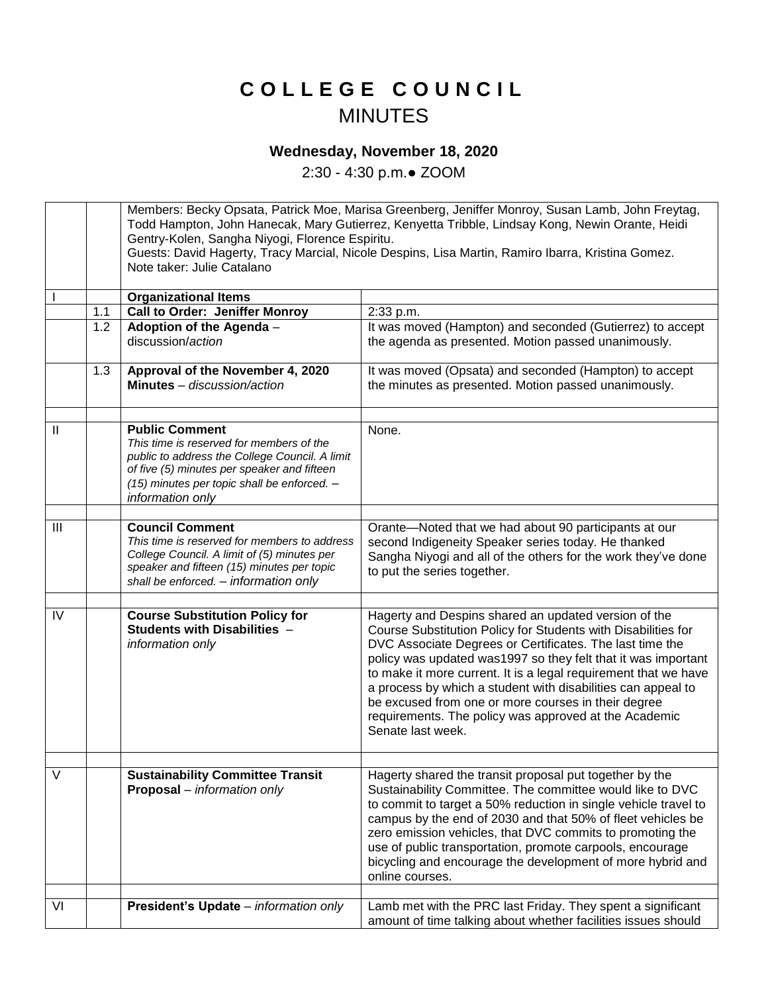## **C O L L E G E C O U N C I L** MINUTES

## **Wednesday, November 18, 2020**

2:30 - 4:30 p.m.● ZOOM

Members: Becky Opsata, Patrick Moe, Marisa Greenberg, Jeniffer Monroy, Susan Lamb, John Freytag, Todd Hampton, John Hanecak, Mary Gutierrez, Kenyetta Tribble, Lindsay Kong, Newin Orante, Heidi Gentry-Kolen, Sangha Niyogi, Florence Espiritu. Guests: David Hagerty, Tracy Marcial, Nicole Despins, Lisa Martin, Ramiro Ibarra, Kristina Gomez. Note taker: Julie Catalano I **Organizational Items** 1.1 | Call to Order: Jeniffer Monroy | 2:33 p.m. 1.2 **Adoption of the Agenda** – discussion/*action* It was moved (Hampton) and seconded (Gutierrez) to accept the agenda as presented. Motion passed unanimously. 1.3 **Approval of the November 4, 2020 Minutes** *– discussion/action* It was moved (Opsata) and seconded (Hampton) to accept the minutes as presented. Motion passed unanimously. II **Public Comment** *This time is reserved for members of the public to address the College Council. A limit of five (5) minutes per speaker and fifteen (15) minutes per topic shall be enforced. – information only* None. III **Council Comment** *This time is reserved for members to address College Council. A limit of (5) minutes per speaker and fifteen (15) minutes per topic shall be enforced. – information only* Orante—Noted that we had about 90 participants at our second Indigeneity Speaker series today. He thanked Sangha Niyogi and all of the others for the work they've done to put the series together. IV **Course Substitution Policy for Students with Disabilities** *– information only* Hagerty and Despins shared an updated version of the Course Substitution Policy for Students with Disabilities for DVC Associate Degrees or Certificates. The last time the policy was updated was1997 so they felt that it was important to make it more current. It is a legal requirement that we have a process by which a student with disabilities can appeal to be excused from one or more courses in their degree requirements. The policy was approved at the Academic Senate last week. V **Sustainability Committee Transit Proposal** – *information only* Hagerty shared the transit proposal put together by the Sustainability Committee. The committee would like to DVC to commit to target a 50% reduction in single vehicle travel to campus by the end of 2030 and that 50% of fleet vehicles be zero emission vehicles, that DVC commits to promoting the use of public transportation, promote carpools, encourage bicycling and encourage the development of more hybrid and online courses. VI **President's Update** – *information only* Lamb met with the PRC last Friday. They spent a significant amount of time talking about whether facilities issues should